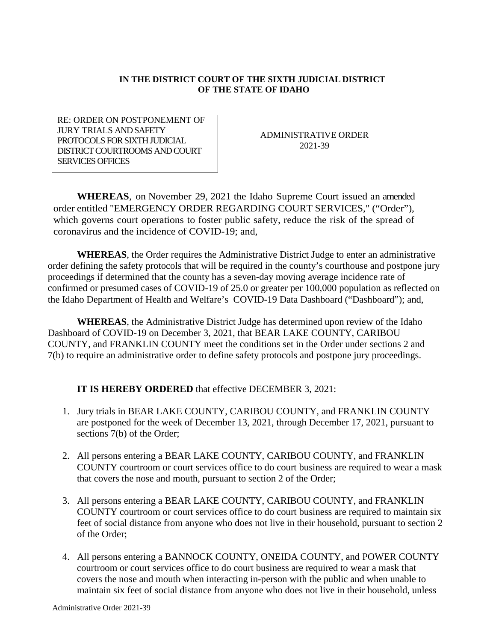## **IN THE DISTRICT COURT OF THE SIXTH JUDICIAL DISTRICT OF THE STATE OF IDAHO**

RE: ORDER ON POSTPONEMENT OF JURY TRIALS AND SAFETY PROTOCOLS FOR SIXTH JUDICIAL DISTRICT COURTROOMS AND COURT SERVICES OFFICES

ADMINISTRATIVE ORDER 2021-39

**WHEREAS**, on November 29, 2021 the Idaho Supreme Court issued an amended order entitled "EMERGENCY ORDER REGARDING COURT SERVICES," ("Order"), which governs court operations to foster public safety, reduce the risk of the spread of coronavirus and the incidence of COVID-19; and,

**WHEREAS**, the Order requires the Administrative District Judge to enter an administrative order defining the safety protocols that will be required in the county's courthouse and postpone jury proceedings if determined that the county has a seven-day moving average incidence rate of confirmed or presumed cases of COVID-19 of 25.0 or greater per 100,000 population as reflected on the Idaho Department of Health and Welfare's COVID-19 Data Dashboard ("Dashboard"); and,

**WHEREAS**, the Administrative District Judge has determined upon review of the Idaho Dashboard of COVID-19 on December 3, 2021, that BEAR LAKE COUNTY, CARIBOU COUNTY, and FRANKLIN COUNTY meet the conditions set in the Order under sections 2 and 7(b) to require an administrative order to define safety protocols and postpone jury proceedings.

## **IT IS HEREBY ORDERED** that effective DECEMBER 3, 2021:

- 1. Jury trials in BEAR LAKE COUNTY, CARIBOU COUNTY, and FRANKLIN COUNTY are postponed for the week of December 13, 2021, through December 17, 2021, pursuant to sections 7(b) of the Order;
- 2. All persons entering a BEAR LAKE COUNTY, CARIBOU COUNTY, and FRANKLIN COUNTY courtroom or court services office to do court business are required to wear a mask that covers the nose and mouth, pursuant to section 2 of the Order;
- 3. All persons entering a BEAR LAKE COUNTY, CARIBOU COUNTY, and FRANKLIN COUNTY courtroom or court services office to do court business are required to maintain six feet of social distance from anyone who does not live in their household, pursuant to section 2 of the Order;
- 4. All persons entering a BANNOCK COUNTY, ONEIDA COUNTY, and POWER COUNTY courtroom or court services office to do court business are required to wear a mask that covers the nose and mouth when interacting in-person with the public and when unable to maintain six feet of social distance from anyone who does not live in their household, unless